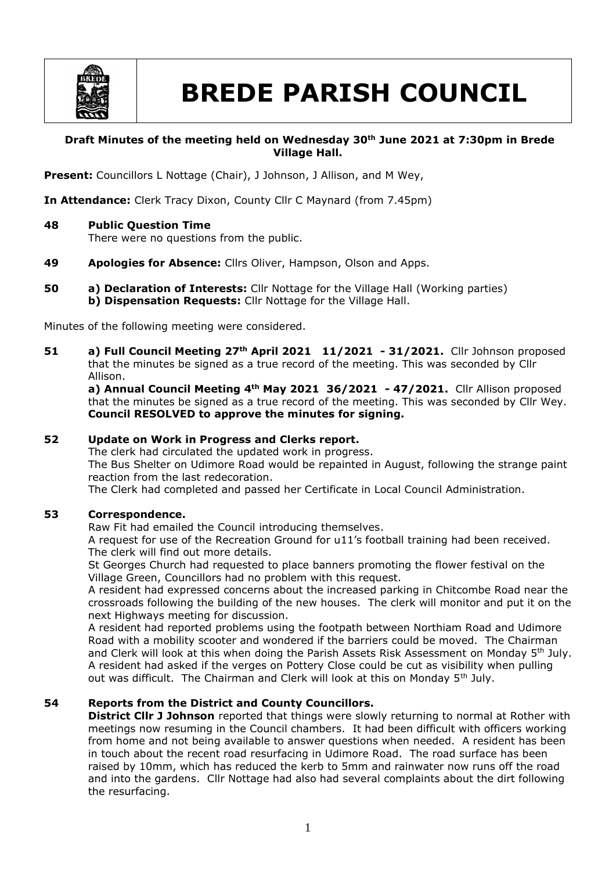

# **BREDE PARISH COUNCIL**

## **Draft Minutes of the meeting held on Wednesday 30th June 2021 at 7:30pm in Brede Village Hall.**

Present: Councillors L Nottage (Chair), J Johnson, J Allison, and M Wey,

**In Attendance:** Clerk Tracy Dixon, County Cllr C Maynard (from 7.45pm)

**48 Public Question Time**

There were no questions from the public.

- **49 Apologies for Absence:** Cllrs Oliver, Hampson, Olson and Apps.
- **50 a) Declaration of Interests:** Cllr Nottage for the Village Hall (Working parties) **b) Dispensation Requests:** Cllr Nottage for the Village Hall.

Minutes of the following meeting were considered.

**51 a) Full Council Meeting 27th April 2021 11/2021 - 31/2021.** Cllr Johnson proposed that the minutes be signed as a true record of the meeting. This was seconded by Cllr Allison.

**a) Annual Council Meeting 4th May 2021 36/2021 - 47/2021.** Cllr Allison proposed that the minutes be signed as a true record of the meeting. This was seconded by Cllr Wey. **Council RESOLVED to approve the minutes for signing.**

#### **52 Update on Work in Progress and Clerks report.**

The clerk had circulated the updated work in progress.

The Bus Shelter on Udimore Road would be repainted in August, following the strange paint reaction from the last redecoration.

The Clerk had completed and passed her Certificate in Local Council Administration.

#### **53 Correspondence.**

Raw Fit had emailed the Council introducing themselves.

A request for use of the Recreation Ground for u11's football training had been received. The clerk will find out more details.

St Georges Church had requested to place banners promoting the flower festival on the Village Green, Councillors had no problem with this request.

A resident had expressed concerns about the increased parking in Chitcombe Road near the crossroads following the building of the new houses. The clerk will monitor and put it on the next Highways meeting for discussion.

A resident had reported problems using the footpath between Northiam Road and Udimore Road with a mobility scooter and wondered if the barriers could be moved. The Chairman and Clerk will look at this when doing the Parish Assets Risk Assessment on Monday 5<sup>th</sup> July. A resident had asked if the verges on Pottery Close could be cut as visibility when pulling out was difficult. The Chairman and Clerk will look at this on Monday 5<sup>th</sup> July.

#### **54 Reports from the District and County Councillors.**

**District Cllr J Johnson** reported that things were slowly returning to normal at Rother with meetings now resuming in the Council chambers. It had been difficult with officers working from home and not being available to answer questions when needed. A resident has been in touch about the recent road resurfacing in Udimore Road. The road surface has been raised by 10mm, which has reduced the kerb to 5mm and rainwater now runs off the road and into the gardens. Cllr Nottage had also had several complaints about the dirt following the resurfacing.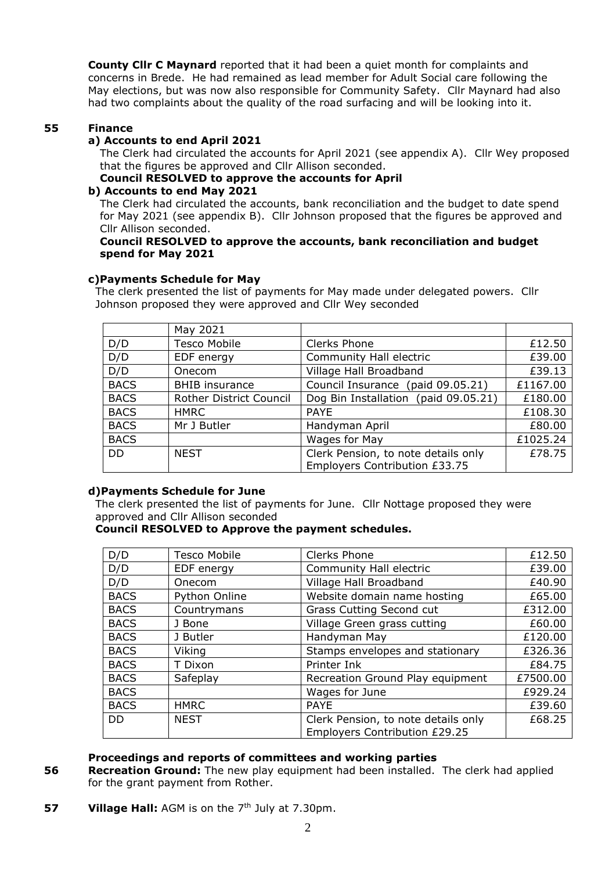**County Cllr C Maynard** reported that it had been a quiet month for complaints and concerns in Brede. He had remained as lead member for Adult Social care following the May elections, but was now also responsible for Community Safety. Cllr Maynard had also had two complaints about the quality of the road surfacing and will be looking into it.

## **55 Finance**

## **a) Accounts to end April 2021**

The Clerk had circulated the accounts for April 2021 (see appendix A). Cllr Wey proposed that the figures be approved and Cllr Allison seconded.

**Council RESOLVED to approve the accounts for April**

#### **b) Accounts to end May 2021**

The Clerk had circulated the accounts, bank reconciliation and the budget to date spend for May 2021 (see appendix B). Cllr Johnson proposed that the figures be approved and Cllr Allison seconded.

#### **Council RESOLVED to approve the accounts, bank reconciliation and budget spend for May 2021**

#### **c)Payments Schedule for May**

The clerk presented the list of payments for May made under delegated powers. Cllr Johnson proposed they were approved and Cllr Wey seconded

|             | May 2021                |                                      |          |
|-------------|-------------------------|--------------------------------------|----------|
| D/D         | <b>Tesco Mobile</b>     | Clerks Phone                         | £12.50   |
| D/D         | EDF energy              | Community Hall electric              | £39.00   |
| D/D         | Onecom                  | Village Hall Broadband               | £39.13   |
| <b>BACS</b> | <b>BHIB</b> insurance   | Council Insurance (paid 09.05.21)    | £1167.00 |
| <b>BACS</b> | Rother District Council | Dog Bin Installation (paid 09.05.21) | £180.00  |
| <b>BACS</b> | <b>HMRC</b>             | <b>PAYE</b>                          | £108.30  |
| <b>BACS</b> | Mr J Butler             | Handyman April                       | £80.00   |
| <b>BACS</b> |                         | Wages for May                        | £1025.24 |
| <b>DD</b>   | <b>NEST</b>             | Clerk Pension, to note details only  | £78.75   |
|             |                         | Employers Contribution £33.75        |          |

#### **d)Payments Schedule for June**

The clerk presented the list of payments for June. Cllr Nottage proposed they were approved and Cllr Allison seconded

## **Council RESOLVED to Approve the payment schedules.**

| D/D         | <b>Tesco Mobile</b> | Clerks Phone                                                         | £12.50   |
|-------------|---------------------|----------------------------------------------------------------------|----------|
| D/D         | EDF energy          | Community Hall electric                                              | £39.00   |
| D/D         | Onecom              | Village Hall Broadband                                               | £40.90   |
| <b>BACS</b> | Python Online       | Website domain name hosting                                          | £65.00   |
| <b>BACS</b> | Countrymans         | <b>Grass Cutting Second cut</b>                                      | £312.00  |
| <b>BACS</b> | J Bone              | Village Green grass cutting                                          | £60.00   |
| <b>BACS</b> | J Butler            | Handyman May                                                         | £120.00  |
| <b>BACS</b> | Viking              | Stamps envelopes and stationary                                      | £326.36  |
| <b>BACS</b> | T Dixon             | Printer Ink                                                          | £84.75   |
| <b>BACS</b> | Safeplay            | Recreation Ground Play equipment                                     | £7500.00 |
| <b>BACS</b> |                     | Wages for June                                                       | £929.24  |
| <b>BACS</b> | <b>HMRC</b>         | <b>PAYE</b>                                                          | £39.60   |
| <b>DD</b>   | <b>NEST</b>         | Clerk Pension, to note details only<br>Employers Contribution £29.25 | £68.25   |

#### **Proceedings and reports of committees and working parties**

- **56 Recreation Ground:** The new play equipment had been installed. The clerk had applied for the grant payment from Rother.
- **57 Village Hall:** AGM is on the 7<sup>th</sup> July at 7.30pm.